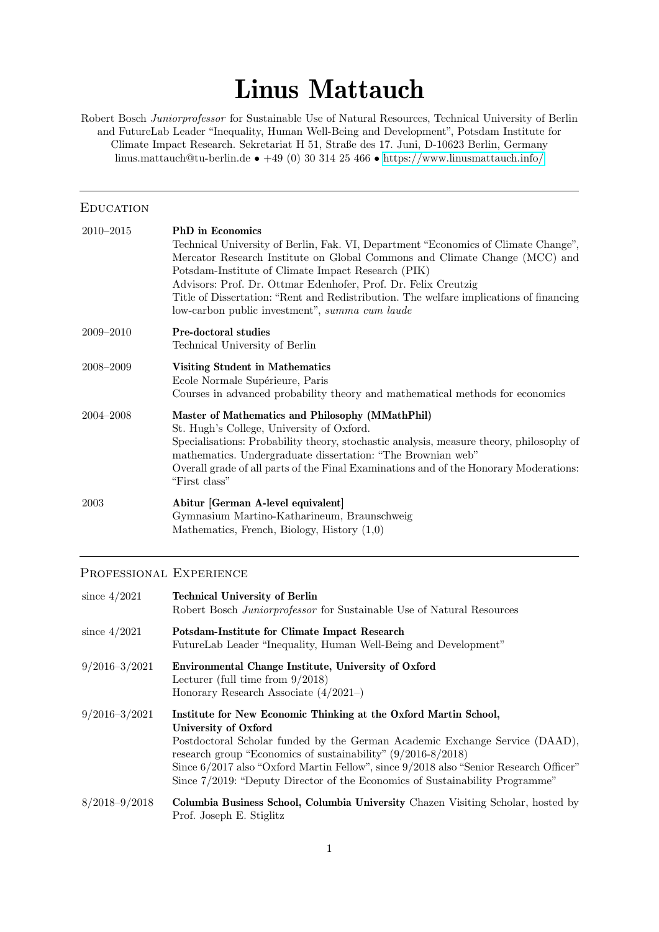# Linus Mattauch

Robert Bosch Juniorprofessor for Sustainable Use of Natural Resources, Technical University of Berlin and FutureLab Leader "Inequality, Human Well-Being and Development", Potsdam Institute for Climate Impact Research. Sekretariat H 51, Straße des 17. Juni, D-10623 Berlin, Germany linus.mattauch@tu-berlin.de • +49 (0) 30 314 25 466 • <https://www.linusmattauch.info/>

#### **EDUCATION**

| $2010 - 2015$ | <b>PhD</b> in Economics                                                                                                                                          |  |  |  |
|---------------|------------------------------------------------------------------------------------------------------------------------------------------------------------------|--|--|--|
|               | Technical University of Berlin, Fak. VI, Department "Economics of Climate Change",<br>Mercator Research Institute on Global Commons and Climate Change (MCC) and |  |  |  |
|               | Potsdam-Institute of Climate Impact Research (PIK)                                                                                                               |  |  |  |
|               | Advisors: Prof. Dr. Ottmar Edenhofer, Prof. Dr. Felix Creutzig                                                                                                   |  |  |  |
|               | Title of Dissertation: "Rent and Redistribution. The welfare implications of financing                                                                           |  |  |  |
|               | low-carbon public investment", summa cum laude                                                                                                                   |  |  |  |
| 2009–2010     | <b>Pre-doctoral studies</b>                                                                                                                                      |  |  |  |
|               | Technical University of Berlin                                                                                                                                   |  |  |  |
| 2008–2009     | <b>Visiting Student in Mathematics</b><br>Ecole Normale Supérieure, Paris                                                                                        |  |  |  |
|               | Courses in advanced probability theory and mathematical methods for economics                                                                                    |  |  |  |
| $2004 - 2008$ | Master of Mathematics and Philosophy (MMathPhil)                                                                                                                 |  |  |  |
|               | St. Hugh's College, University of Oxford.                                                                                                                        |  |  |  |
|               | Specialisations: Probability theory, stochastic analysis, measure theory, philosophy of<br>mathematics. Undergraduate dissertation: "The Brownian web"           |  |  |  |
|               | Overall grade of all parts of the Final Examinations and of the Honorary Moderations:<br>"First class"                                                           |  |  |  |
| 2003          | Abitur [German A-level equivalent]                                                                                                                               |  |  |  |
|               | Gymnasium Martino-Katharineum, Braunschweig                                                                                                                      |  |  |  |
|               | Mathematics, French, Biology, History $(1,0)$                                                                                                                    |  |  |  |

#### Professional Experience

| since $4/2021$    | <b>Technical University of Berlin</b><br>Robert Bosch Juniorprofessor for Sustainable Use of Natural Resources                                                                                                                                                                                                                                                                                                     |
|-------------------|--------------------------------------------------------------------------------------------------------------------------------------------------------------------------------------------------------------------------------------------------------------------------------------------------------------------------------------------------------------------------------------------------------------------|
| since $4/2021$    | Potsdam-Institute for Climate Impact Research<br>FutureLab Leader "Inequality, Human Well-Being and Development"                                                                                                                                                                                                                                                                                                   |
| $9/2016 - 3/2021$ | Environmental Change Institute, University of Oxford<br>Lecturer (full time from $9/2018$ )<br>Honorary Research Associate $(4/2021-)$                                                                                                                                                                                                                                                                             |
| $9/2016 - 3/2021$ | Institute for New Economic Thinking at the Oxford Martin School,<br>University of Oxford<br>Postdoctoral Scholar funded by the German Academic Exchange Service (DAAD),<br>research group "Economics of sustainability" $(9/2016-8/2018)$<br>Since 6/2017 also "Oxford Martin Fellow", since 9/2018 also "Senior Research Officer"<br>Since 7/2019: "Deputy Director of the Economics of Sustainability Programme" |
| $8/2018 - 9/2018$ | Columbia Business School, Columbia University Chazen Visiting Scholar, hosted by<br>Prof. Joseph E. Stiglitz                                                                                                                                                                                                                                                                                                       |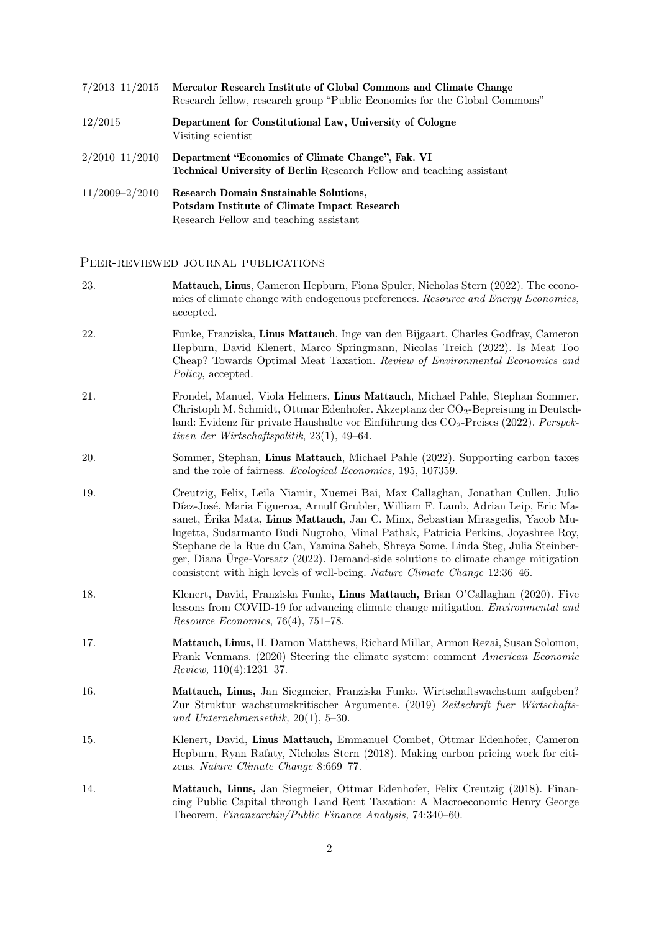| $7/2013 - 11/2015$ | Mercator Research Institute of Global Commons and Climate Change<br>Research fellow, research group "Public Economics for the Global Commons" |
|--------------------|-----------------------------------------------------------------------------------------------------------------------------------------------|
| 12/2015            | Department for Constitutional Law, University of Cologne<br>Visiting scientist                                                                |
| $2/2010 - 11/2010$ | Department "Economics of Climate Change", Fak. VI<br><b>Technical University of Berlin</b> Research Fellow and teaching assistant             |
| $11/2009 - 2/2010$ | <b>Research Domain Sustainable Solutions,</b><br>Potsdam Institute of Climate Impact Research<br>Research Fellow and teaching assistant       |

### PEER-REVIEWED JOURNAL PUBLICATIONS

| 23. | Mattauch, Linus, Cameron Hepburn, Fiona Spuler, Nicholas Stern (2022). The econo-<br>mics of climate change with endogenous preferences. Resource and Energy Economics,<br>accepted.                                                                                                                                                                                                                                                                                                                                                                                                                  |
|-----|-------------------------------------------------------------------------------------------------------------------------------------------------------------------------------------------------------------------------------------------------------------------------------------------------------------------------------------------------------------------------------------------------------------------------------------------------------------------------------------------------------------------------------------------------------------------------------------------------------|
| 22. | Funke, Franziska, Linus Mattauch, Inge van den Bijgaart, Charles Godfray, Cameron<br>Hepburn, David Klenert, Marco Springmann, Nicolas Treich (2022). Is Meat Too<br>Cheap? Towards Optimal Meat Taxation. Review of Environmental Economics and<br><i>Policy</i> , accepted.                                                                                                                                                                                                                                                                                                                         |
| 21. | Frondel, Manuel, Viola Helmers, Linus Mattauch, Michael Pahle, Stephan Sommer,<br>Christoph M. Schmidt, Ottmar Edenhofer. Akzeptanz der CO <sub>2</sub> -Bepreisung in Deutsch-<br>land: Evidenz für private Haushalte vor Einführung des CO <sub>2</sub> -Preises (2022). Perspek-<br>tiven der Wirtschaftspolitik, $23(1)$ , 49–64.                                                                                                                                                                                                                                                                 |
| 20. | Sommer, Stephan, Linus Mattauch, Michael Pahle (2022). Supporting carbon taxes<br>and the role of fairness. <i>Ecological Economics</i> , 195, 107359.                                                                                                                                                                                                                                                                                                                                                                                                                                                |
| 19. | Creutzig, Felix, Leila Niamir, Xuemei Bai, Max Callaghan, Jonathan Cullen, Julio<br>Díaz-José, Maria Figueroa, Arnulf Grubler, William F. Lamb, Adrian Leip, Eric Ma-<br>sanet, Erika Mata, Linus Mattauch, Jan C. Minx, Sebastian Mirasgedis, Yacob Mu-<br>lugetta, Sudarmanto Budi Nugroho, Minal Pathak, Patricia Perkins, Joyashree Roy,<br>Stephane de la Rue du Can, Yamina Saheb, Shreya Some, Linda Steg, Julia Steinber-<br>ger, Diana Ürge-Vorsatz (2022). Demand-side solutions to climate change mitigation<br>consistent with high levels of well-being. Nature Climate Change 12:36-46. |
| 18. | Klenert, David, Franziska Funke, Linus Mattauch, Brian O'Callaghan (2020). Five<br>lessons from COVID-19 for advancing climate change mitigation. Environmental and<br>$Resource\ Economics, 76(4), 751-78.$                                                                                                                                                                                                                                                                                                                                                                                          |
| 17. | Mattauch, Linus, H. Damon Matthews, Richard Millar, Armon Rezai, Susan Solomon,<br>Frank Venmans. (2020) Steering the climate system: comment American Economic<br>$Review, 110(4):1231-37.$                                                                                                                                                                                                                                                                                                                                                                                                          |
| 16. | Mattauch, Linus, Jan Siegmeier, Franziska Funke. Wirtschaftswachstum aufgeben?<br>Zur Struktur wachstumskritischer Argumente. (2019) Zeitschrift fuer Wirtschafts-<br>und Unternehmensethik, $20(1)$ , 5-30.                                                                                                                                                                                                                                                                                                                                                                                          |
| 15. | Klenert, David, Linus Mattauch, Emmanuel Combet, Ottmar Edenhofer, Cameron<br>Hepburn, Ryan Rafaty, Nicholas Stern (2018). Making carbon pricing work for citi-<br>zens. Nature Climate Change 8:669-77.                                                                                                                                                                                                                                                                                                                                                                                              |
| 14. | Mattauch, Linus, Jan Siegmeier, Ottmar Edenhofer, Felix Creutzig (2018). Finan-<br>cing Public Capital through Land Rent Taxation: A Macroeconomic Henry George<br>Theorem, Finanzarchiv/Public Finance Analysis, 74:340-60.                                                                                                                                                                                                                                                                                                                                                                          |
|     | $\overline{2}$                                                                                                                                                                                                                                                                                                                                                                                                                                                                                                                                                                                        |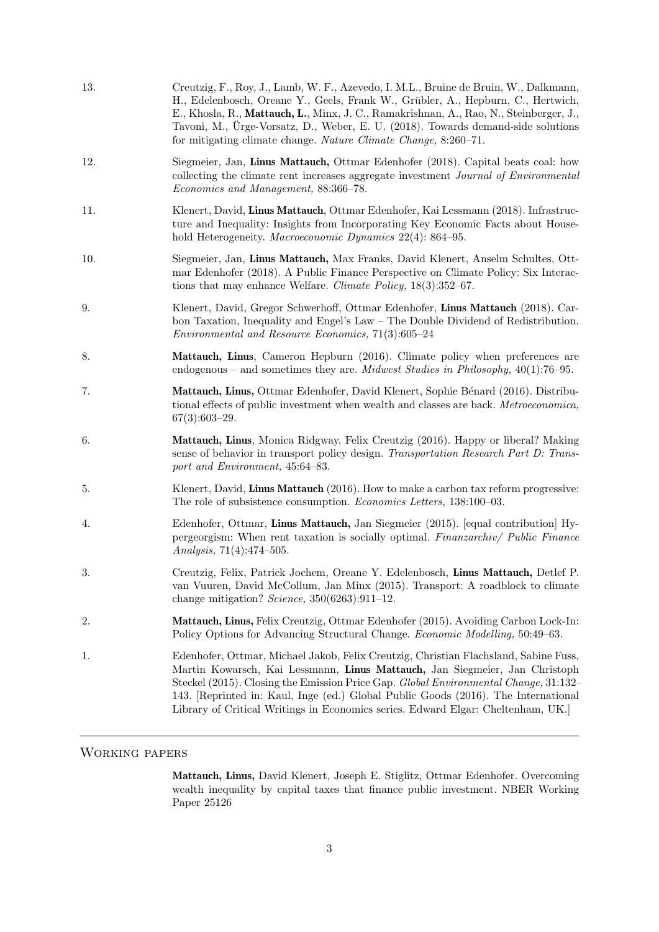| 13. | Creutzig, F., Roy, J., Lamb, W. F., Azevedo, I. M.L., Bruine de Bruin, W., Dalkmann,<br>H., Edelenbosch, Oreane Y., Geels, Frank W., Grübler, A., Hepburn, C., Hertwich,<br>E., Khosla, R., Mattauch, L., Minx, J. C., Ramakrishnan, A., Rao, N., Steinberger, J.,<br>Tavoni, M., Ürge-Vorsatz, D., Weber, E. U. (2018). Towards demand-side solutions<br>for mitigating climate change. Nature Climate Change, 8:260-71.            |
|-----|--------------------------------------------------------------------------------------------------------------------------------------------------------------------------------------------------------------------------------------------------------------------------------------------------------------------------------------------------------------------------------------------------------------------------------------|
| 12. | Siegmeier, Jan, Linus Mattauch, Ottmar Edenhofer (2018). Capital beats coal: how<br>collecting the climate rent increases aggregate investment <i>Journal of Environmental</i><br>Economics and Management, 88:366-78.                                                                                                                                                                                                               |
| 11. | Klenert, David, Linus Mattauch, Ottmar Edenhofer, Kai Lessmann (2018). Infrastruc-<br>ture and Inequality: Insights from Incorporating Key Economic Facts about House-<br>hold Heterogeneity. Macroeconomic Dynamics 22(4): 864–95.                                                                                                                                                                                                  |
| 10. | Siegmeier, Jan, Linus Mattauch, Max Franks, David Klenert, Anselm Schultes, Ott-<br>mar Edenhofer (2018). A Public Finance Perspective on Climate Policy: Six Interac-<br>tions that may enhance Welfare. Climate Policy, $18(3):352-67$ .                                                                                                                                                                                           |
| 9.  | Klenert, David, Gregor Schwerhoff, Ottmar Edenhofer, Linus Mattauch (2018). Car-<br>bon Taxation, Inequality and Engel's Law - The Double Dividend of Redistribution.<br><i>Environmental and Resource Economics</i> , 71(3):605-24                                                                                                                                                                                                  |
| 8.  | Mattauch, Linus, Cameron Hepburn (2016). Climate policy when preferences are<br>endogenous – and sometimes they are. <i>Midwest Studies in Philosophy</i> , $40(1)$ :76–95.                                                                                                                                                                                                                                                          |
| 7.  | Mattauch, Linus, Ottmar Edenhofer, David Klenert, Sophie Bénard (2016). Distribu-<br>tional effects of public investment when wealth and classes are back. Metroeconomica,<br>$67(3):603-29.$                                                                                                                                                                                                                                        |
| 6.  | Mattauch, Linus, Monica Ridgway, Felix Creutzig (2016). Happy or liberal? Making<br>sense of behavior in transport policy design. Transportation Research Part D: Trans-<br>port and Environment, 45:64-83.                                                                                                                                                                                                                          |
| 5.  | Klenert, David, Linus Mattauch (2016). How to make a carbon tax reform progressive:<br>The role of subsistence consumption. <i>Economics Letters</i> , 138:100-03.                                                                                                                                                                                                                                                                   |
| 4.  | Edenhofer, Ottmar, Linus Mattauch, Jan Siegmeier (2015). [equal contribution] Hy-<br>pergeorgism: When rent taxation is socially optimal. Finanzarchiv/ Public Finance<br>Analysis, 71(4):474-505.                                                                                                                                                                                                                                   |
| 3.  | Creutzig, Felix, Patrick Jochem, Oreane Y. Edelenbosch, Linus Mattauch, Detlef P.<br>van Vuuren, David McCollum, Jan Minx (2015). Transport: A roadblock to climate<br>change mitigation? Science, $350(6263):911-12$ .                                                                                                                                                                                                              |
| 2.  | Mattauch, Linus, Felix Creutzig, Ottmar Edenhofer (2015). Avoiding Carbon Lock-In:<br>Policy Options for Advancing Structural Change. Economic Modelling, 50:49–63.                                                                                                                                                                                                                                                                  |
| 1.  | Edenhofer, Ottmar, Michael Jakob, Felix Creutzig, Christian Flachsland, Sabine Fuss,<br>Martin Kowarsch, Kai Lessmann, Linus Mattauch, Jan Siegmeier, Jan Christoph<br>Steckel (2015). Closing the Emission Price Gap. Global Environmental Change, 31:132-<br>143. [Reprinted in: Kaul, Inge (ed.) Global Public Goods (2016). The International<br>Library of Critical Writings in Economics series. Edward Elgar: Cheltenham, UK. |
|     |                                                                                                                                                                                                                                                                                                                                                                                                                                      |

### Working papers

Mattauch, Linus, David Klenert, Joseph E. Stiglitz, Ottmar Edenhofer. Overcoming wealth inequality by capital taxes that finance public investment. NBER Working Paper 25126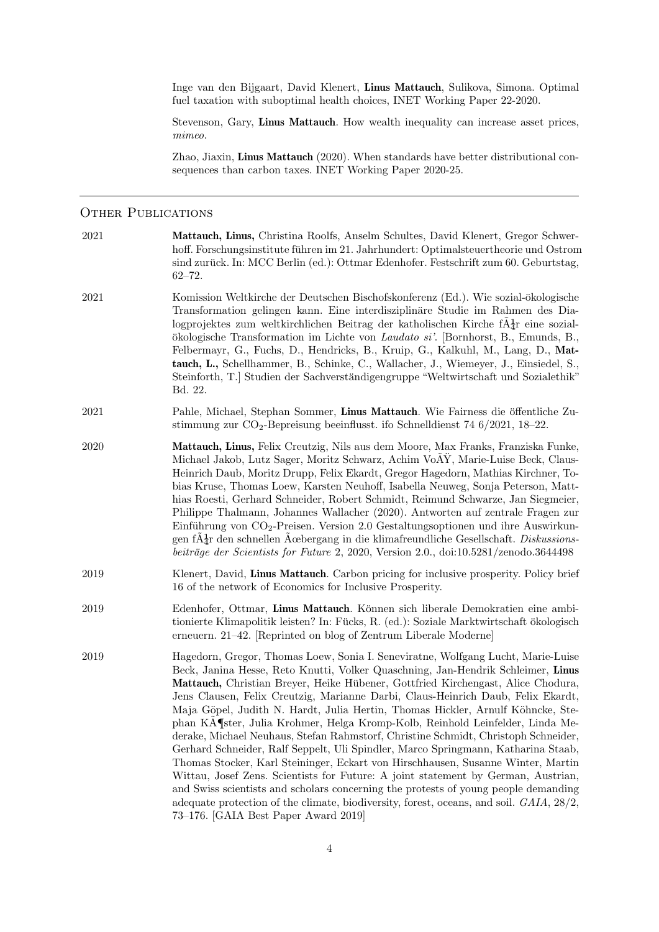Inge van den Bijgaart, David Klenert, Linus Mattauch, Sulikova, Simona. Optimal fuel taxation with suboptimal health choices, INET Working Paper 22-2020.

Stevenson, Gary, Linus Mattauch. How wealth inequality can increase asset prices, mimeo.

Zhao, Jiaxin, Linus Mattauch (2020). When standards have better distributional consequences than carbon taxes. INET Working Paper 2020-25.

### OTHER PUBLICATIONS

| 2021 | Mattauch, Linus, Christina Roolfs, Anselm Schultes, David Klenert, Gregor Schwer-<br>hoff. Forschungsinstitute führen im 21. Jahrhundert: Optimalsteuertheorie und Ostrom<br>sind zurück. In: MCC Berlin (ed.): Ottmar Edenhofer. Festschrift zum 60. Geburtstag,<br>$62 - 72.$                                                                                                                                                                                                                                                                                                                                                                                                                                                                                                                                                                                                                                                                                                                                                                                                                |
|------|------------------------------------------------------------------------------------------------------------------------------------------------------------------------------------------------------------------------------------------------------------------------------------------------------------------------------------------------------------------------------------------------------------------------------------------------------------------------------------------------------------------------------------------------------------------------------------------------------------------------------------------------------------------------------------------------------------------------------------------------------------------------------------------------------------------------------------------------------------------------------------------------------------------------------------------------------------------------------------------------------------------------------------------------------------------------------------------------|
| 2021 | Komission Weltkirche der Deutschen Bischofskonferenz (Ed.). Wie sozial-ökologische<br>Transformation gelingen kann. Eine interdisziplinäre Studie im Rahmen des Dia-<br>logprojektes zum weltkirchlichen Beitrag der katholischen Kirche $fA_{\overline{d}}$ r eine sozial-<br>ökologische Transformation im Lichte von Laudato si'. [Bornhorst, B., Emunds, B.,<br>Felbermayr, G., Fuchs, D., Hendricks, B., Kruip, G., Kalkuhl, M., Lang, D., Mat-<br>tauch, L., Schellhammer, B., Schinke, C., Wallacher, J., Wiemeyer, J., Einsiedel, S.,<br>Steinforth, T. Studien der Sachverständigengruppe "Weltwirtschaft und Sozialethik"<br>Bd. 22.                                                                                                                                                                                                                                                                                                                                                                                                                                                 |
| 2021 | Pahle, Michael, Stephan Sommer, Linus Mattauch. Wie Fairness die öffentliche Zu-<br>stimmung zur $CO_2$ -Bepreisung beeinflusst. ifo Schnelldienst 74 6/2021, 18–22.                                                                                                                                                                                                                                                                                                                                                                                                                                                                                                                                                                                                                                                                                                                                                                                                                                                                                                                           |
| 2020 | Mattauch, Linus, Felix Creutzig, Nils aus dem Moore, Max Franks, Franziska Funke,<br>Michael Jakob, Lutz Sager, Moritz Schwarz, Achim VoAY, Marie-Luise Beck, Claus-<br>Heinrich Daub, Moritz Drupp, Felix Ekardt, Gregor Hagedorn, Mathias Kirchner, To-<br>bias Kruse, Thomas Loew, Karsten Neuhoff, Isabella Neuweg, Sonja Peterson, Matt-<br>hias Roesti, Gerhard Schneider, Robert Schmidt, Reimund Schwarze, Jan Siegmeier,<br>Philippe Thalmann, Johannes Wallacher (2020). Antworten auf zentrale Fragen zur<br>Einführung von $CO2$ -Preisen. Version 2.0 Gestaltungsoptionen und ihre Auswirkun-<br>gen $f \mathbf{A}_T^1$ den schnellen Acebergang in die klimafreundliche Gesellschaft. Diskussions-<br>beiträge der Scientists for Future 2, 2020, Version 2.0., doi:10.5281/zenodo.3644498                                                                                                                                                                                                                                                                                       |
| 2019 | Klenert, David, Linus Mattauch. Carbon pricing for inclusive prosperity. Policy brief<br>16 of the network of Economics for Inclusive Prosperity.                                                                                                                                                                                                                                                                                                                                                                                                                                                                                                                                                                                                                                                                                                                                                                                                                                                                                                                                              |
| 2019 | Edenhofer, Ottmar, Linus Mattauch. Können sich liberale Demokratien eine ambi-<br>tionierte Klimapolitik leisten? In: Fücks, R. (ed.): Soziale Marktwirtschaft ökologisch<br>erneuern. 21–42. [Reprinted on blog of Zentrum Liberale Moderne]                                                                                                                                                                                                                                                                                                                                                                                                                                                                                                                                                                                                                                                                                                                                                                                                                                                  |
| 2019 | Hagedorn, Gregor, Thomas Loew, Sonia I. Seneviratne, Wolfgang Lucht, Marie-Luise<br>Beck, Janina Hesse, Reto Knutti, Volker Quaschning, Jan-Hendrik Schleimer, Linus<br>Mattauch, Christian Breyer, Heike Hübener, Gottfried Kirchengast, Alice Chodura,<br>Jens Clausen, Felix Creutzig, Marianne Darbi, Claus-Heinrich Daub, Felix Ekardt,<br>Maja Göpel, Judith N. Hardt, Julia Hertin, Thomas Hickler, Arnulf Köhncke, Ste-<br>phan KA¶ster, Julia Krohmer, Helga Kromp-Kolb, Reinhold Leinfelder, Linda Me-<br>derake, Michael Neuhaus, Stefan Rahmstorf, Christine Schmidt, Christoph Schneider,<br>Gerhard Schneider, Ralf Seppelt, Uli Spindler, Marco Springmann, Katharina Staab,<br>Thomas Stocker, Karl Steininger, Eckart von Hirschhausen, Susanne Winter, Martin<br>Wittau, Josef Zens. Scientists for Future: A joint statement by German, Austrian,<br>and Swiss scientists and scholars concerning the protests of young people demanding<br>adequate protection of the climate, biodiversity, forest, oceans, and soil. GAIA, 28/2,<br>73-176. [GAIA Best Paper Award 2019] |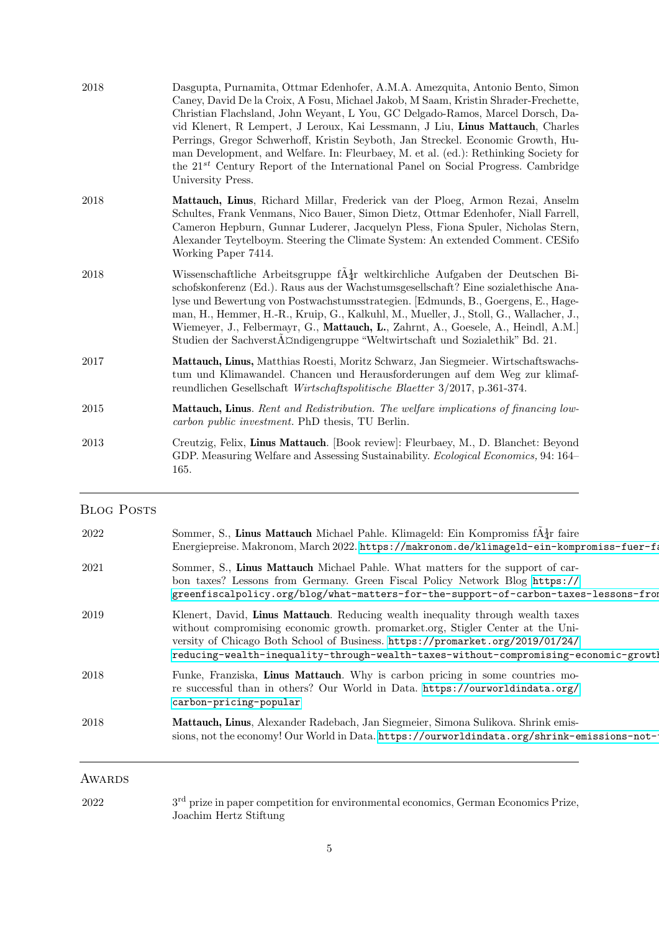| 2018 | Dasgupta, Purnamita, Ottmar Edenhofer, A.M.A. Amezquita, Antonio Bento, Simon<br>Caney, David De la Croix, A Fosu, Michael Jakob, M Saam, Kristin Shrader-Frechette,<br>Christian Flachsland, John Weyant, L You, GC Delgado-Ramos, Marcel Dorsch, Da-<br>vid Klenert, R Lempert, J Leroux, Kai Lessmann, J Liu, Linus Mattauch, Charles<br>Perrings, Gregor Schwerhoff, Kristin Seyboth, Jan Streckel. Economic Growth, Hu-<br>man Development, and Welfare. In: Fleurbaey, M. et al. (ed.): Rethinking Society for<br>the 21 <sup>st</sup> Century Report of the International Panel on Social Progress. Cambridge<br>University Press. |
|------|-------------------------------------------------------------------------------------------------------------------------------------------------------------------------------------------------------------------------------------------------------------------------------------------------------------------------------------------------------------------------------------------------------------------------------------------------------------------------------------------------------------------------------------------------------------------------------------------------------------------------------------------|
| 2018 | Mattauch, Linus, Richard Millar, Frederick van der Ploeg, Armon Rezai, Anselm<br>Schultes, Frank Venmans, Nico Bauer, Simon Dietz, Ottmar Edenhofer, Niall Farrell,<br>Cameron Hepburn, Gunnar Luderer, Jacquelyn Pless, Fiona Spuler, Nicholas Stern,<br>Alexander Teytelboym. Steering the Climate System: An extended Comment. CESifo<br>Working Paper 7414.                                                                                                                                                                                                                                                                           |
| 2018 | Wissenschaftliche Arbeitsgruppe f $\tilde{A}_{4}^{\dagger}$ r weltkirchliche Aufgaben der Deutschen Bi-<br>schofskonferenz (Ed.). Raus aus der Wachstumsgesellschaft? Eine sozialethische Ana-<br>lyse und Bewertung von Postwachstumsstrategien. [Edmunds, B., Goergens, E., Hage-<br>man, H., Hemmer, H.-R., Kruip, G., Kalkuhl, M., Mueller, J., Stoll, G., Wallacher, J.,<br>Wiemeyer, J., Felbermayr, G., Mattauch, L., Zahrnt, A., Goesele, A., Heindl, A.M.]<br>Studien der SachverstÄ $\triangle$ ndigengruppe "Weltwirtschaft und Sozialethik" Bd. 21.                                                                           |
| 2017 | Mattauch, Linus, Matthias Roesti, Moritz Schwarz, Jan Siegmeier. Wirtschaftswachs-<br>tum und Klimawandel. Chancen und Herausforderungen auf dem Weg zur klimaf-<br>reundlichen Gesellschaft Wirtschaftspolitische Blaetter 3/2017, p.361-374.                                                                                                                                                                                                                                                                                                                                                                                            |
| 2015 | <b>Mattauch, Linus.</b> Rent and Redistribution. The welfare implications of financing low-<br>carbon public investment. PhD thesis, TU Berlin.                                                                                                                                                                                                                                                                                                                                                                                                                                                                                           |
| 2013 | Creutzig, Felix, Linus Mattauch. [Book review]: Fleurbaey, M., D. Blanchet: Beyond<br>GDP. Measuring Welfare and Assessing Sustainability. <i>Ecological Economics</i> , 94: 164–<br>165.                                                                                                                                                                                                                                                                                                                                                                                                                                                 |

## BLOG POSTS

| 2022   | Sommer, S., Linus Mattauch Michael Pahle. Klimageld: Ein Kompromiss $fA_{\overline{d}}r$ faire<br>Energiepreise. Makronom, March 2022. https://makronom.de/klimageld-ein-kompromiss-fuer-fa                                                                                                                                                 |
|--------|---------------------------------------------------------------------------------------------------------------------------------------------------------------------------------------------------------------------------------------------------------------------------------------------------------------------------------------------|
| 2021   | Sommer, S., Linus Mattauch Michael Pahle. What matters for the support of car-<br>bon taxes? Lessons from Germany. Green Fiscal Policy Network Blog https://<br>greenfiscalpolicy.org/blog/what-matters-for-the-support-of-carbon-taxes-lessons-from                                                                                        |
| 2019   | Klenert, David, Linus Mattauch. Reducing wealth inequality through wealth taxes<br>without compromising economic growth. promarket.org, Stigler Center at the Uni-<br>versity of Chicago Both School of Business. https://promarket.org/2019/01/24/<br>reducing-wealth-inequality-through-wealth-taxes-without-compromising-economic-growtl |
| 2018   | Funke, Franziska, Linus Mattauch. Why is carbon pricing in some countries mo-<br>re successful than in others? Our World in Data. https://ourworldindata.org/<br>carbon-pricing-popular                                                                                                                                                     |
| 2018   | Mattauch, Linus, Alexander Radebach, Jan Siegmeier, Simona Sulikova. Shrink emis-<br>sions, not the economy! Our World in Data. https://ourworldindata.org/shrink-emissions-not-                                                                                                                                                            |
| AWARDS |                                                                                                                                                                                                                                                                                                                                             |

2022 3<sup>rd</sup> prize in paper competition for environmental economics, German Economics Prize, Joachim Hertz Stiftung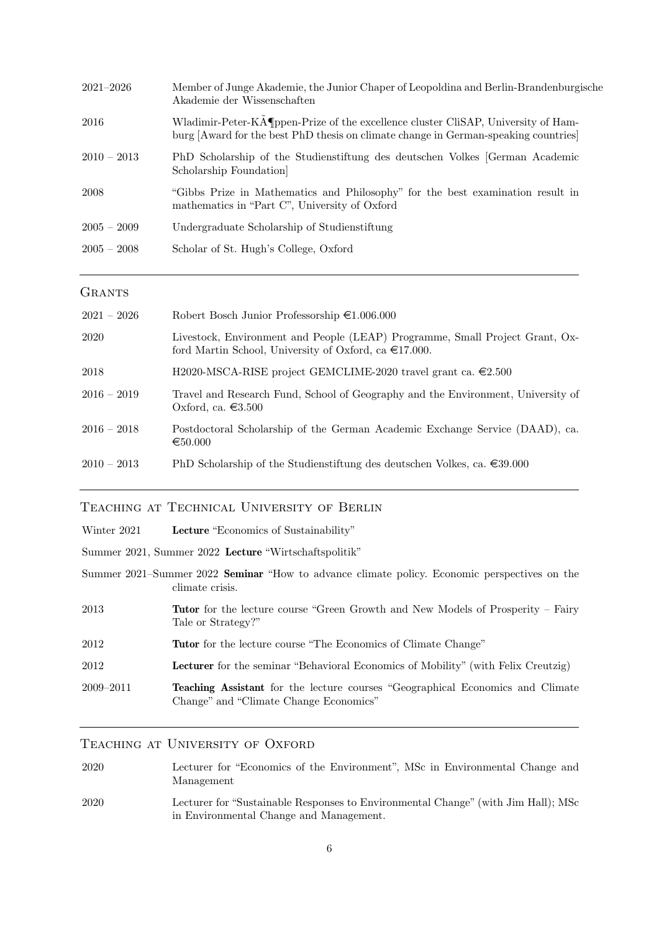| $2021 - 2026$ | Member of Junge Akademie, the Junior Chaper of Leopoldina and Berlin-Brandenburgische<br>Akademie der Wissenschaften                                                     |
|---------------|--------------------------------------------------------------------------------------------------------------------------------------------------------------------------|
| 2016          | Wladimir-Peter-KA¶ppen-Prize of the excellence cluster CliSAP, University of Ham-<br>burg [Award for the best PhD thesis on climate change in German-speaking countries] |
| $2010 - 2013$ | PhD Scholarship of the Studienstiftung des deutschen Volkes German Academic<br>Scholarship Foundation                                                                    |
| 2008          | "Gibbs Prize in Mathematics and Philosophy" for the best examination result in<br>mathematics in "Part C", University of Oxford                                          |
| $2005 - 2009$ | Undergraduate Scholarship of Studienstiftung                                                                                                                             |
| $2005 - 2008$ | Scholar of St. Hugh's College, Oxford                                                                                                                                    |
|               |                                                                                                                                                                          |

#### **GRANTS**

| $2021 - 2026$ | Robert Bosch Junior Professorship $\epsilon 1.006.000$                                                                                          |
|---------------|-------------------------------------------------------------------------------------------------------------------------------------------------|
| 2020          | Livestock, Environment and People (LEAP) Programme, Small Project Grant, Ox-<br>ford Martin School, University of Oxford, ca $\epsilon$ 17.000. |
| 2018          | H2020-MSCA-RISE project GEMCLIME-2020 travel grant ca. $\in 2.500$                                                                              |
| $2016 - 2019$ | Travel and Research Fund, School of Geography and the Environment, University of<br>Oxford, ca. $\in 3.500$                                     |
| $2016 - 2018$ | Postdoctoral Scholarship of the German Academic Exchange Service (DAAD), ca.<br>$\epsilon$ 50.000                                               |
| $2010 - 2013$ | PhD Scholarship of the Studienstiftung des deutschen Volkes, ca. $\epsilon$ 39.000                                                              |

#### Teaching at Technical University of Berlin

- Winter 2021 Lecture "Economics of Sustainability"
- Summer 2021, Summer 2022 Lecture "Wirtschaftspolitik"

| Summer 2021–Summer 2022 Seminar "How to advance climate policy. Economic perspectives on the |  |  |  |  |
|----------------------------------------------------------------------------------------------|--|--|--|--|
| climate crisis.                                                                              |  |  |  |  |

- 2013 Tutor for the lecture course "Green Growth and New Models of Prosperity Fairy Tale or Strategy?"
- 2012 Tutor for the lecture course "The Economics of Climate Change"

2012 Lecturer for the seminar "Behavioral Economics of Mobility" (with Felix Creutzig)

2009–2011 Teaching Assistant for the lecture courses "Geographical Economics and Climate Change" and "Climate Change Economics"

### TEACHING AT UNIVERSITY OF OXFORD

| 2020 | Lecturer for "Economics of the Environment", MSc in Environmental Change and |
|------|------------------------------------------------------------------------------|
|      | Management                                                                   |

2020 Lecturer for "Sustainable Responses to Environmental Change" (with Jim Hall); MSc in Environmental Change and Management.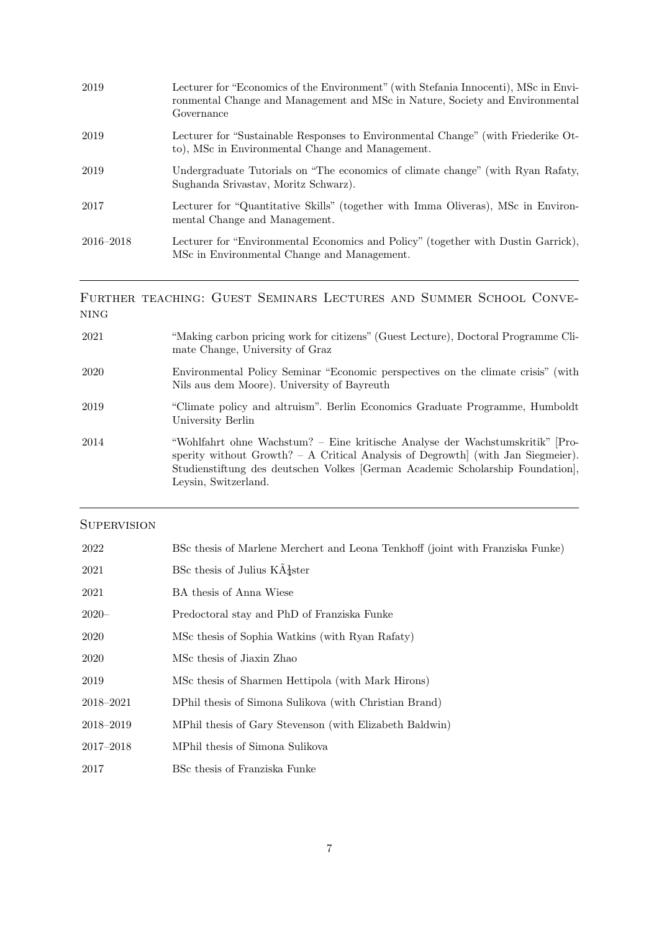| 2019          | Lecturer for "Economics of the Environment" (with Stefania Innocenti), MSc in Envi-<br>ronmental Change and Management and MSc in Nature, Society and Environmental<br>Governance |
|---------------|-----------------------------------------------------------------------------------------------------------------------------------------------------------------------------------|
| 2019          | Lecturer for "Sustainable Responses to Environmental Change" (with Friederike Ot-<br>to), MSc in Environmental Change and Management.                                             |
| 2019          | Undergraduate Tutorials on "The economics of climate change" (with Ryan Rafaty,<br>Sughanda Srivastav, Moritz Schwarz).                                                           |
| 2017          | Lecturer for "Quantitative Skills" (together with Imma Oliveras), MSc in Environ-<br>mental Change and Management.                                                                |
| $2016 - 2018$ | Lecturer for "Environmental Economics and Policy" (together with Dustin Garrick),<br>MSc in Environmental Change and Management.                                                  |
|               |                                                                                                                                                                                   |

### Further teaching: Guest Seminars Lectures and Summer School Conve- $\rm NING$

| 2021 | "Making carbon pricing work for citizens" (Guest Lecture), Doctoral Programme Cli-<br>mate Change, University of Graz                                                                                                                                                        |
|------|------------------------------------------------------------------------------------------------------------------------------------------------------------------------------------------------------------------------------------------------------------------------------|
| 2020 | Environmental Policy Seminar "Economic perspectives on the climate crisis" (with<br>Nils aus dem Moore). University of Bayreuth                                                                                                                                              |
| 2019 | "Climate policy and altruism". Berlin Economics Graduate Programme, Humboldt<br>University Berlin                                                                                                                                                                            |
| 2014 | "Wohlfahrt ohne Wachstum? – Eine kritische Analyse der Wachstumskritik"  Pro-<br>sperity without Growth? $- A$ Critical Analysis of Degrowth (with Jan Siegmeier).<br>Studienstiftung des deutschen Volkes [German Academic Scholarship Foundation],<br>Leysin, Switzerland. |

### **SUPERVISION**

| 2022          | BSc thesis of Marlene Merchert and Leona Tenkhoff (joint with Franziska Funke) |
|---------------|--------------------------------------------------------------------------------|
| 2021          | BSc thesis of Julius $K\tilde{A}^{\text{1}}_{\text{2}}$ ster                   |
| 2021          | BA thesis of Anna Wiese                                                        |
| $2020 -$      | Predoctoral stay and PhD of Franziska Funke                                    |
| 2020          | MSc thesis of Sophia Watkins (with Ryan Rafaty)                                |
| 2020          | MSc thesis of Jiaxin Zhao                                                      |
| 2019          | MSc thesis of Sharmen Hettipola (with Mark Hirons)                             |
| 2018–2021     | DPhil thesis of Simona Sulikova (with Christian Brand)                         |
| 2018-2019     | MPhil thesis of Gary Stevenson (with Elizabeth Baldwin)                        |
| $2017 - 2018$ | MPhil thesis of Simona Sulikova                                                |
| 2017          | BSc thesis of Franziska Funke                                                  |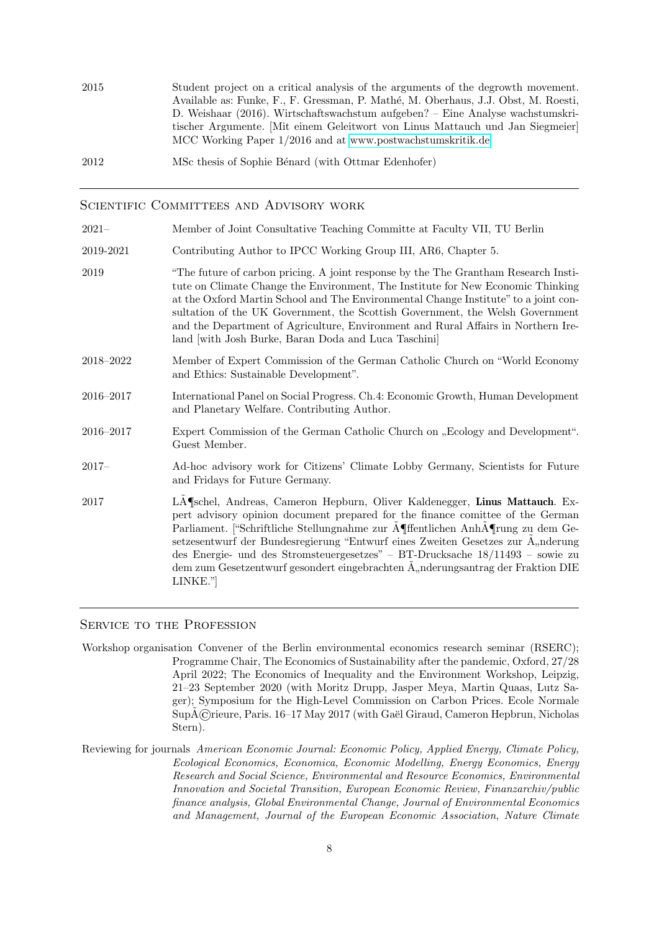2015 Student project on a critical analysis of the arguments of the degrowth movement. Available as: Funke, F., F. Gressman, P. Mathé, M. Oberhaus, J.J. Obst, M. Roesti, D. Weishaar (2016). Wirtschaftswachstum aufgeben? – Eine Analyse wachstumskritischer Argumente. [Mit einem Geleitwort von Linus Mattauch und Jan Siegmeier] MCC Working Paper 1/2016 and at<www.postwachstumskritik.de>

2012 MSc thesis of Sophie Bénard (with Ottmar Edenhofer)

#### SCIENTIFIC COMMITTEES AND ADVISORY WORK

2021– Member of Joint Consultative Teaching Committe at Faculty VII, TU Berlin

- 2019-2021 Contributing Author to IPCC Working Group III, AR6, Chapter 5.
- 2019 "The future of carbon pricing. A joint response by the The Grantham Research Institute on Climate Change the Environment, The Institute for New Economic Thinking at the Oxford Martin School and The Environmental Change Institute" to a joint consultation of the UK Government, the Scottish Government, the Welsh Government and the Department of Agriculture, Environment and Rural Affairs in Northern Ireland [with Josh Burke, Baran Doda and Luca Taschini]
- 2018–2022 Member of Expert Commission of the German Catholic Church on "World Economy and Ethics: Sustainable Development".
- 2016–2017 International Panel on Social Progress. Ch.4: Economic Growth, Human Development and Planetary Welfare. Contributing Author.
- 2016–2017 Expert Commission of the German Catholic Church on "Ecology and Development". Guest Member.
- 2017– Ad-hoc advisory work for Citizens' Climate Lobby Germany, Scientists for Future and Fridays for Future Germany.
- 2017 LA Sehel, Andreas, Cameron Hepburn, Oliver Kaldenegger, Linus Mattauch. Expert advisory opinion document prepared for the finance comittee of the German Parliament. ["Schriftliche Stellungnahme zur A˜¶ffentlichen AnhA˜¶rung zu dem Gesetzesentwurf der Bundesregierung "Entwurf eines Zweiten Gesetzes zur  $\tilde{A}$  "nderung des Energie- und des Stromsteuergesetzes" – BT-Drucksache 18/11493 – sowie zu dem zum Gesetzentwurf gesondert eingebrachten  $\tilde{A}$ "nderungsantrag der Fraktion DIE LINKE."]

#### SERVICE TO THE PROFESSION

- Workshop organisation Convener of the Berlin environmental economics research seminar (RSERC); Programme Chair, The Economics of Sustainability after the pandemic, Oxford, 27/28 April 2022; The Economics of Inequality and the Environment Workshop, Leipzig, 21–23 September 2020 (with Moritz Drupp, Jasper Meya, Martin Quaas, Lutz Sager); Symposium for the High-Level Commission on Carbon Prices. Ecole Normale SupA©rieure, Paris. 16–17 May 2017 (with Gaël Giraud, Cameron Hepbrun, Nicholas Stern).
- Reviewing for journals American Economic Journal: Economic Policy, Applied Energy, Climate Policy, Ecological Economics, Economica, Economic Modelling, Energy Economics, Energy Research and Social Science, Environmental and Resource Economics, Environmental Innovation and Societal Transition, European Economic Review, Finanzarchiv/public finance analysis, Global Environmental Change, Journal of Environmental Economics and Management, Journal of the European Economic Association, Nature Climate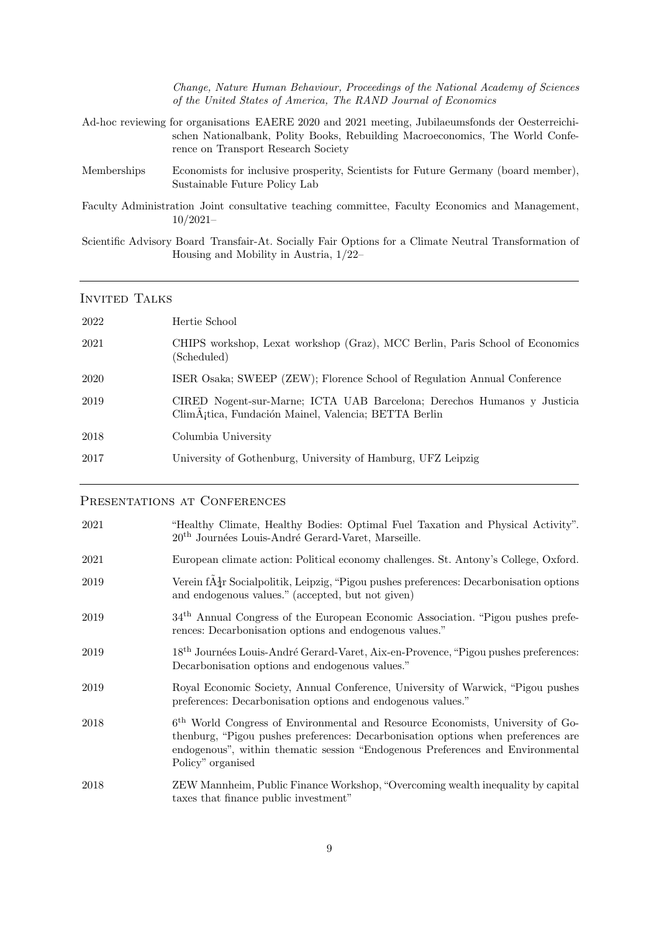|             | Change, Nature Human Behaviour, Proceedings of the National Academy of Sciences<br>of the United States of America, The RAND Journal of Economics                                                                         |
|-------------|---------------------------------------------------------------------------------------------------------------------------------------------------------------------------------------------------------------------------|
|             | Ad-hoc reviewing for organisations EAERE 2020 and 2021 meeting, Jubilaeumsfonds der Oesterreichi-<br>schen Nationalbank, Polity Books, Rebuilding Macroeconomics, The World Confe-<br>rence on Transport Research Society |
| Memberships | Economists for inclusive prosperity, Scientists for Future Germany (board member),                                                                                                                                        |

Faculty Administration Joint consultative teaching committee, Faculty Economics and Management, 10/2021–

Sustainable Future Policy Lab

Scientific Advisory Board Transfair-At. Socially Fair Options for a Climate Neutral Transformation of Housing and Mobility in Austria, 1/22–

#### INVITED TALKS

| 2022 | Hertie School                                                                                                                    |
|------|----------------------------------------------------------------------------------------------------------------------------------|
| 2021 | CHIPS workshop, Lexat workshop (Graz), MCC Berlin, Paris School of Economics<br>(Scheduled)                                      |
| 2020 | ISER Osaka; SWEEP (ZEW); Florence School of Regulation Annual Conference                                                         |
| 2019 | CIRED Nogent-sur-Marne; ICTA UAB Barcelona; Derechos Humanos y Justicia<br>ClimA; tica, Fundación Mainel, Valencia; BETTA Berlin |
| 2018 | Columbia University                                                                                                              |
| 2017 | University of Gothenburg, University of Hamburg, UFZ Leipzig                                                                     |
|      |                                                                                                                                  |

#### PRESENTATIONS AT CONFERENCES

| 2021 | "Healthy Climate, Healthy Bodies: Optimal Fuel Taxation and Physical Activity".<br>$20th$ Journées Louis-André Gerard-Varet, Marseille.                                                                                                                                                |
|------|----------------------------------------------------------------------------------------------------------------------------------------------------------------------------------------------------------------------------------------------------------------------------------------|
| 2021 | European climate action: Political economy challenges. St. Antony's College, Oxford.                                                                                                                                                                                                   |
| 2019 | Verein $f\tilde{A}^1_{\overline{4}}$ r Socialpolitik, Leipzig, "Pigou pushes preferences: Decarbonisation options<br>and endogenous values." (accepted, but not given)                                                                                                                 |
| 2019 | 34 <sup>th</sup> Annual Congress of the European Economic Association. "Pigou pushes prefe-<br>rences: Decarbonisation options and endogenous values."                                                                                                                                 |
| 2019 | 18 <sup>th</sup> Journées Louis-André Gerard-Varet, Aix-en-Provence, "Pigou pushes preferences:<br>Decarbonisation options and endogenous values."                                                                                                                                     |
| 2019 | Royal Economic Society, Annual Conference, University of Warwick, "Pigou pushes<br>preferences: Decarbonisation options and endogenous values."                                                                                                                                        |
| 2018 | 6 <sup>th</sup> World Congress of Environmental and Resource Economists, University of Go-<br>thenburg, "Pigou pushes preferences: Decarbonisation options when preferences are<br>endogenous", within thematic session "Endogenous Preferences and Environmental<br>Policy" organised |
| 2018 | ZEW Mannheim, Public Finance Workshop, "Overcoming wealth inequality by capital<br>taxes that finance public investment"                                                                                                                                                               |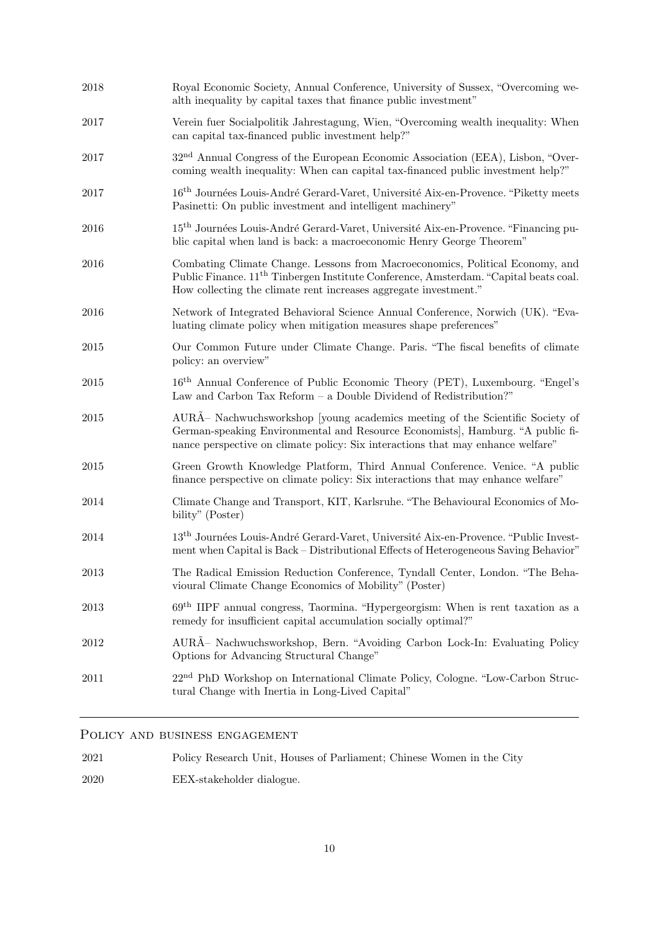| Royal Economic Society, Annual Conference, University of Sussex, "Overcoming we-<br>alth inequality by capital taxes that finance public investment"                                                                                                  |
|-------------------------------------------------------------------------------------------------------------------------------------------------------------------------------------------------------------------------------------------------------|
| Verein fuer Socialpolitik Jahrestagung, Wien, "Overcoming wealth inequality: When<br>can capital tax-financed public investment help?"                                                                                                                |
| 32 <sup>nd</sup> Annual Congress of the European Economic Association (EEA), Lisbon, "Over-<br>coming wealth inequality: When can capital tax-financed public investment help?"                                                                       |
| 16 <sup>th</sup> Journées Louis-André Gerard-Varet, Université Aix-en-Provence. "Piketty meets<br>Pasinetti: On public investment and intelligent machinery"                                                                                          |
| 15 <sup>th</sup> Journées Louis-André Gerard-Varet, Université Aix-en-Provence. "Financing pu-<br>blic capital when land is back: a macroeconomic Henry George Theorem"                                                                               |
| Combating Climate Change. Lessons from Macroeconomics, Political Economy, and<br>Public Finance. 11 <sup>th</sup> Tinbergen Institute Conference, Amsterdam. "Capital beats coal.<br>How collecting the climate rent increases aggregate investment." |
| Network of Integrated Behavioral Science Annual Conference, Norwich (UK). "Eva-<br>luating climate policy when mitigation measures shape preferences"                                                                                                 |
| Our Common Future under Climate Change. Paris. "The fiscal benefits of climate<br>policy: an overview"                                                                                                                                                |
| 16 <sup>th</sup> Annual Conference of Public Economic Theory (PET), Luxembourg. "Engel's<br>Law and Carbon Tax Reform - a Double Dividend of Redistribution?"                                                                                         |
| AURÖ Nachwuchsworkshop [young academics meeting of the Scientific Society of<br>German-speaking Environmental and Resource Economists, Hamburg. "A public fi-<br>nance perspective on climate policy: Six interactions that may enhance welfare"      |
| Green Growth Knowledge Platform, Third Annual Conference. Venice. "A public<br>finance perspective on climate policy: Six interactions that may enhance welfare"                                                                                      |
| Climate Change and Transport, KIT, Karlsruhe. "The Behavioural Economics of Mo-<br>bility" (Poster)                                                                                                                                                   |
| 13 <sup>th</sup> Journées Louis-André Gerard-Varet, Université Aix-en-Provence. "Public Invest-<br>ment when Capital is Back – Distributional Effects of Heterogeneous Saving Behavior"                                                               |
| The Radical Emission Reduction Conference, Tyndall Center, London. "The Beha-<br>vioural Climate Change Economics of Mobility" (Poster)                                                                                                               |
| $69th$ IIPF annual congress, Taormina. "Hypergeorgism: When is rent taxation as a<br>remedy for insufficient capital accumulation socially optimal?"                                                                                                  |
| AURA- Nachwuchsworkshop, Bern. "Avoiding Carbon Lock-In: Evaluating Policy<br>Options for Advancing Structural Change"                                                                                                                                |
| 22 <sup>nd</sup> PhD Workshop on International Climate Policy, Cologne. "Low-Carbon Struc-<br>tural Change with Inertia in Long-Lived Capital"                                                                                                        |
|                                                                                                                                                                                                                                                       |

### POLICY AND BUSINESS ENGAGEMENT

2021 Policy Research Unit, Houses of Parliament; Chinese Women in the City

2020 EEX-stakeholder dialogue.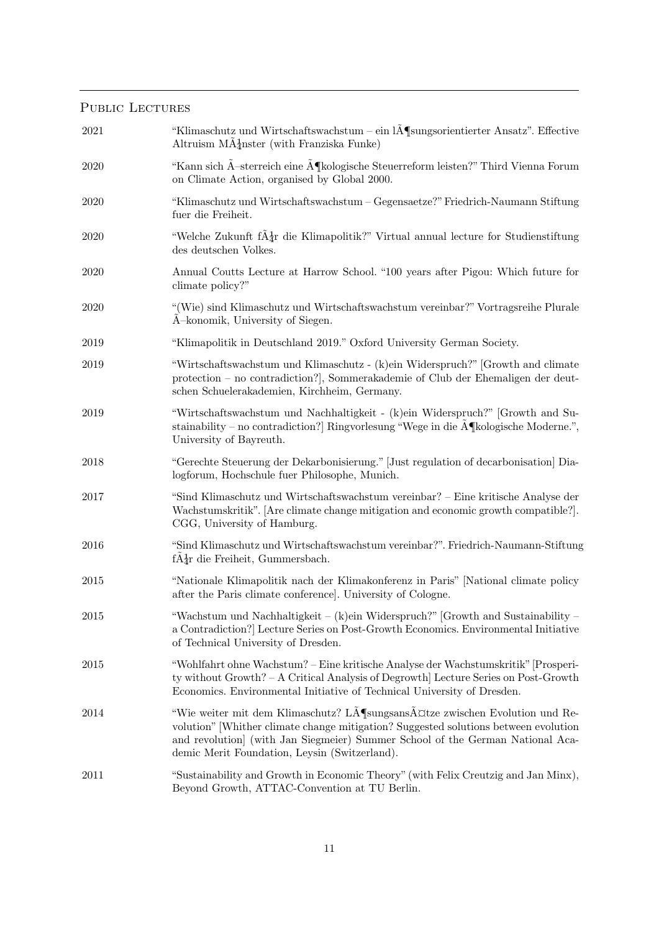### PUBLIC LECTURES

| $2021\,$ | "Klimaschutz und Wirtschaftswachstum – ein IĶsungsorientierter Ansatz". Effective<br>Altruism $M\ddot{A}$ <sup>1</sup> nster (with Franziska Funke)                                                                                                                                                 |
|----------|-----------------------------------------------------------------------------------------------------------------------------------------------------------------------------------------------------------------------------------------------------------------------------------------------------|
| 2020     | "Kann sich $\tilde{A}$ -sterreich eine $\tilde{A}$ ¶kologische Steuerreform leisten?" Third Vienna Forum<br>on Climate Action, organised by Global 2000.                                                                                                                                            |
| 2020     | "Klimaschutz und Wirtschaftswachstum – Gegensaetze?" Friedrich-Naumann Stiftung<br>fuer die Freiheit.                                                                                                                                                                                               |
| 2020     | "Welche Zukunft f $\tilde{A}_{\tilde{d}}$ r die Klimapolitik?" Virtual annual lecture for Studienstiftung<br>des deutschen Volkes.                                                                                                                                                                  |
| 2020     | Annual Coutts Lecture at Harrow School. "100 years after Pigou: Which future for<br>climate policy?"                                                                                                                                                                                                |
| 2020     | "(Wie) sind Klimaschutz und Wirtschaftswachstum vereinbar?" Vortragsreihe Plurale<br>A-konomik, University of Siegen.                                                                                                                                                                               |
| 2019     | "Klimapolitik in Deutschland 2019." Oxford University German Society.                                                                                                                                                                                                                               |
| 2019     | "Wirtschaftswachstum und Klimaschutz - (k)ein Widerspruch?" [Growth and climate<br>protection – no contradiction?], Sommerakademie of Club der Ehemaligen der deut-<br>schen Schuelerakademien, Kirchheim, Germany.                                                                                 |
| 2019     | "Wirtschaftswachstum und Nachhaltigkeit - (k)ein Widerspruch?" [Growth and Su-<br>stainability – no contradiction? Ringvorlesung "Wege in die $\widehat{A}$ kologische Moderne.",<br>University of Bayreuth.                                                                                        |
| 2018     | "Gerechte Steuerung der Dekarbonisierung." [Just regulation of decarbonisation] Dia-<br>logforum, Hochschule fuer Philosophe, Munich.                                                                                                                                                               |
| 2017     | "Sind Klimaschutz und Wirtschaftswachstum vereinbar? – Eine kritische Analyse der<br>Wachstumskritik". [Are climate change mitigation and economic growth compatible?].<br>CGG, University of Hamburg.                                                                                              |
| 2016     | "Sind Klimaschutz und Wirtschaftswachstum vereinbar?". Friedrich-Naumann-Stiftung<br>$f\tilde{A} \frac{1}{4}r$ die Freiheit, Gummersbach.                                                                                                                                                           |
| 2015     | "Nationale Klimapolitik nach der Klimakonferenz in Paris" [National climate policy<br>after the Paris climate conference]. University of Cologne.                                                                                                                                                   |
| $2015\,$ | "Wachstum und Nachhaltigkeit – (k)ein Widerspruch?" [Growth and Sustainability –<br>a Contradiction? Lecture Series on Post-Growth Economics. Environmental Initiative<br>of Technical University of Dresden.                                                                                       |
| 2015     | "Wohlfahrt ohne Wachstum? – Eine kritische Analyse der Wachstumskritik" [Prosperi-<br>ty without Growth? – A Critical Analysis of Degrowth Lecture Series on Post-Growth<br>Economics. Environmental Initiative of Technical University of Dresden.                                                 |
| 2014     | "Wie weiter mit dem Klimaschutz? Lösungsansätze zwischen Evolution und Re-<br>volution" [Whither climate change mitigation? Suggested solutions between evolution<br>and revolution (with Jan Siegmeier) Summer School of the German National Aca-<br>demic Merit Foundation, Leysin (Switzerland). |
| 2011     | "Sustainability and Growth in Economic Theory" (with Felix Creutzig and Jan Minx),<br>Beyond Growth, ATTAC-Convention at TU Berlin.                                                                                                                                                                 |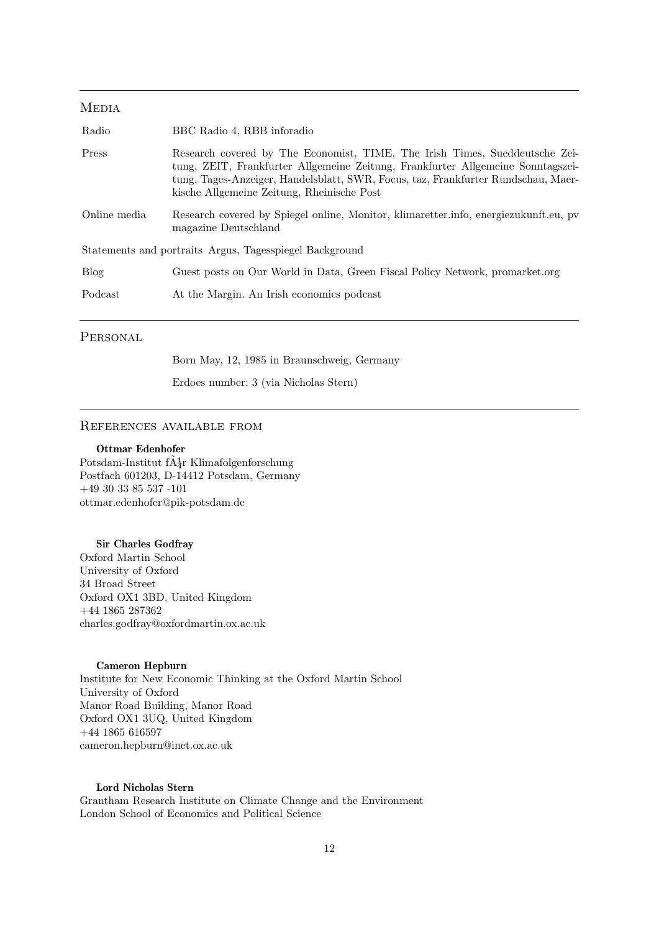#### **MEDIA**

| Radio        | BBC Radio 4, RBB inforadio                                                                                                                                                                                                                                                                        |
|--------------|---------------------------------------------------------------------------------------------------------------------------------------------------------------------------------------------------------------------------------------------------------------------------------------------------|
| Press        | Research covered by The Economist, TIME, The Irish Times, Sueddeutsche Zei-<br>tung, ZEIT, Frankfurter Allgemeine Zeitung, Frankfurter Allgemeine Sonntagszei-<br>tung, Tages-Anzeiger, Handelsblatt, SWR, Focus, taz, Frankfurter Rundschau, Maer-<br>kische Allgemeine Zeitung, Rheinische Post |
| Online media | Research covered by Spiegel online, Monitor, klimaretter.info, energiezukunft.eu, pv<br>magazine Deutschland                                                                                                                                                                                      |
|              | Statements and portraits Argus, Tagesspiegel Background                                                                                                                                                                                                                                           |
| <b>Blog</b>  | Guest posts on Our World in Data, Green Fiscal Policy Network, promarket.org                                                                                                                                                                                                                      |
| Podcast      | At the Margin. An Irish economics podcast                                                                                                                                                                                                                                                         |
|              |                                                                                                                                                                                                                                                                                                   |

#### **PERSONAL**

Born May, 12, 1985 in Braunschweig, Germany

Erdoes number: 3 (via Nicholas Stern)

#### References available from

#### Ottmar Edenhofer

Potsdam-Institut f $A_{4r}^1$  Klimafolgenforschung Postfach 601203, D-14412 Potsdam, Germany  $+49\ 30\ 33\ 85\ 537$  -101 ottmar.edenhofer@pik-potsdam.de

#### Sir Charles Godfray

Oxford Martin School University of Oxford 34 Broad Street Oxford OX1 3BD, United Kingdom +44 1865 287362 charles.godfray@oxfordmartin.ox.ac.uk

#### Cameron Hepburn

Institute for New Economic Thinking at the Oxford Martin School University of Oxford Manor Road Building, Manor Road Oxford OX1 3UQ, United Kingdom +44 1865 616597 cameron.hepburn@inet.ox.ac.uk

#### Lord Nicholas Stern

Grantham Research Institute on Climate Change and the Environment London School of Economics and Political Science